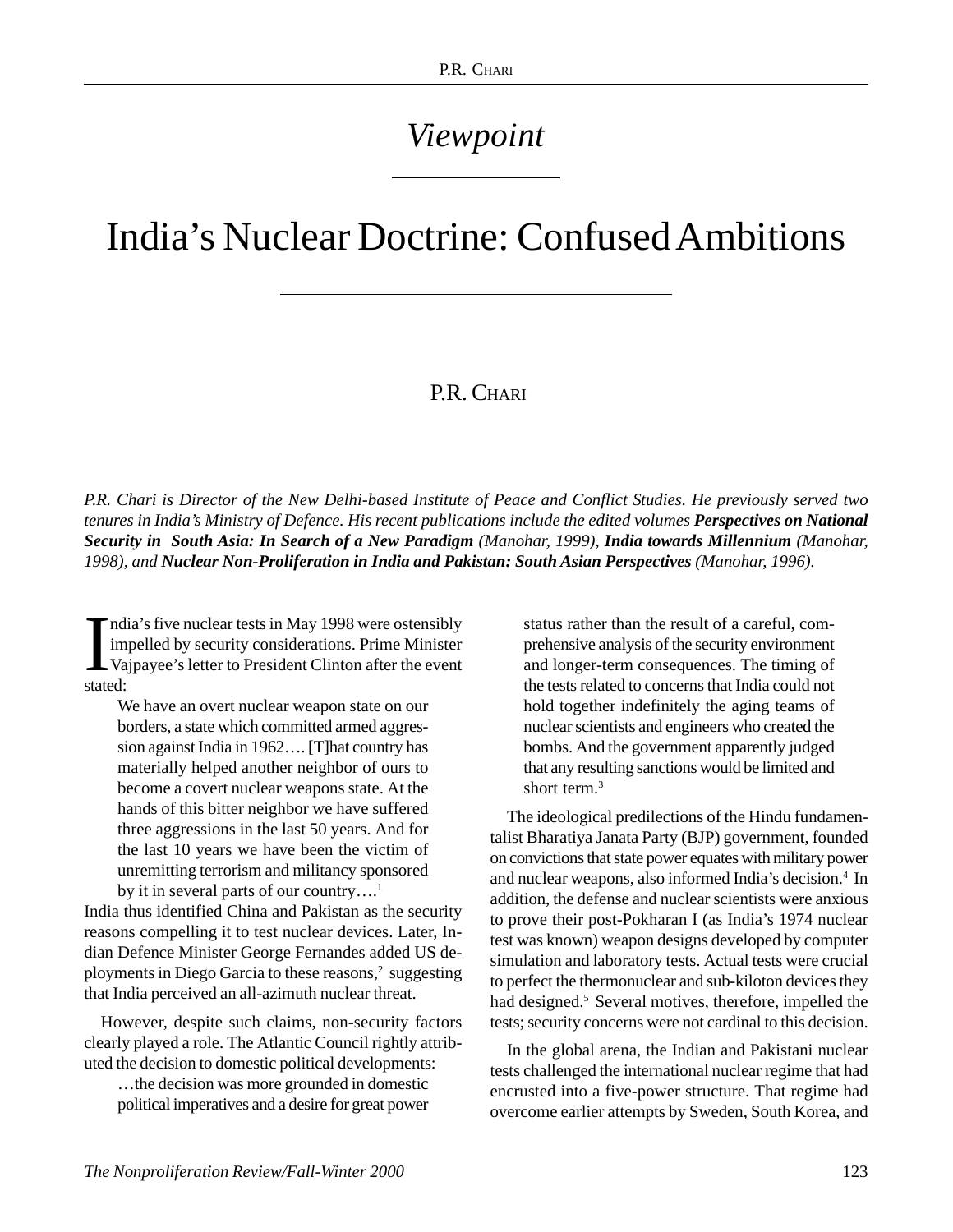# *Viewpoint*

# India's Nuclear Doctrine: Confused Ambitions

# P.R. CHARI

*P.R. Chari is Director of the New Delhi-based Institute of Peace and Conflict Studies. He previously served two tenures in India's Ministry of Defence. His recent publications include the edited volumes Perspectives on National Security in South Asia: In Search of a New Paradigm (Manohar, 1999), India towards Millennium (Manohar, 1998), and Nuclear Non-Proliferation in India and Pakistan: South Asian Perspectives (Manohar, 1996).*

Ind<br>Im<br>Stated: ndia's five nuclear tests in May 1998 were ostensibly impelled by security considerations. Prime Minister Vajpayee's letter to President Clinton after the event

We have an overt nuclear weapon state on our borders, a state which committed armed aggression against India in 1962…. [T]hat country has materially helped another neighbor of ours to become a covert nuclear weapons state. At the hands of this bitter neighbor we have suffered three aggressions in the last 50 years. And for the last 10 years we have been the victim of unremitting terrorism and militancy sponsored by it in several parts of our country....<sup>1</sup>

India thus identified China and Pakistan as the security reasons compelling it to test nuclear devices. Later, Indian Defence Minister George Fernandes added US deployments in Diego Garcia to these reasons, $2$  suggesting that India perceived an all-azimuth nuclear threat.

However, despite such claims, non-security factors clearly played a role. The Atlantic Council rightly attributed the decision to domestic political developments:

…the decision was more grounded in domestic political imperatives and a desire for great power status rather than the result of a careful, comprehensive analysis of the security environment and longer-term consequences. The timing of the tests related to concerns that India could not hold together indefinitely the aging teams of nuclear scientists and engineers who created the bombs. And the government apparently judged that any resulting sanctions would be limited and short term.<sup>3</sup>

The ideological predilections of the Hindu fundamentalist Bharatiya Janata Party (BJP) government, founded on convictions that state power equates with military power and nuclear weapons, also informed India's decision.4 In addition, the defense and nuclear scientists were anxious to prove their post-Pokharan I (as India's 1974 nuclear test was known) weapon designs developed by computer simulation and laboratory tests. Actual tests were crucial to perfect the thermonuclear and sub-kiloton devices they had designed.<sup>5</sup> Several motives, therefore, impelled the tests; security concerns were not cardinal to this decision.

In the global arena, the Indian and Pakistani nuclear tests challenged the international nuclear regime that had encrusted into a five-power structure. That regime had overcome earlier attempts by Sweden, South Korea, and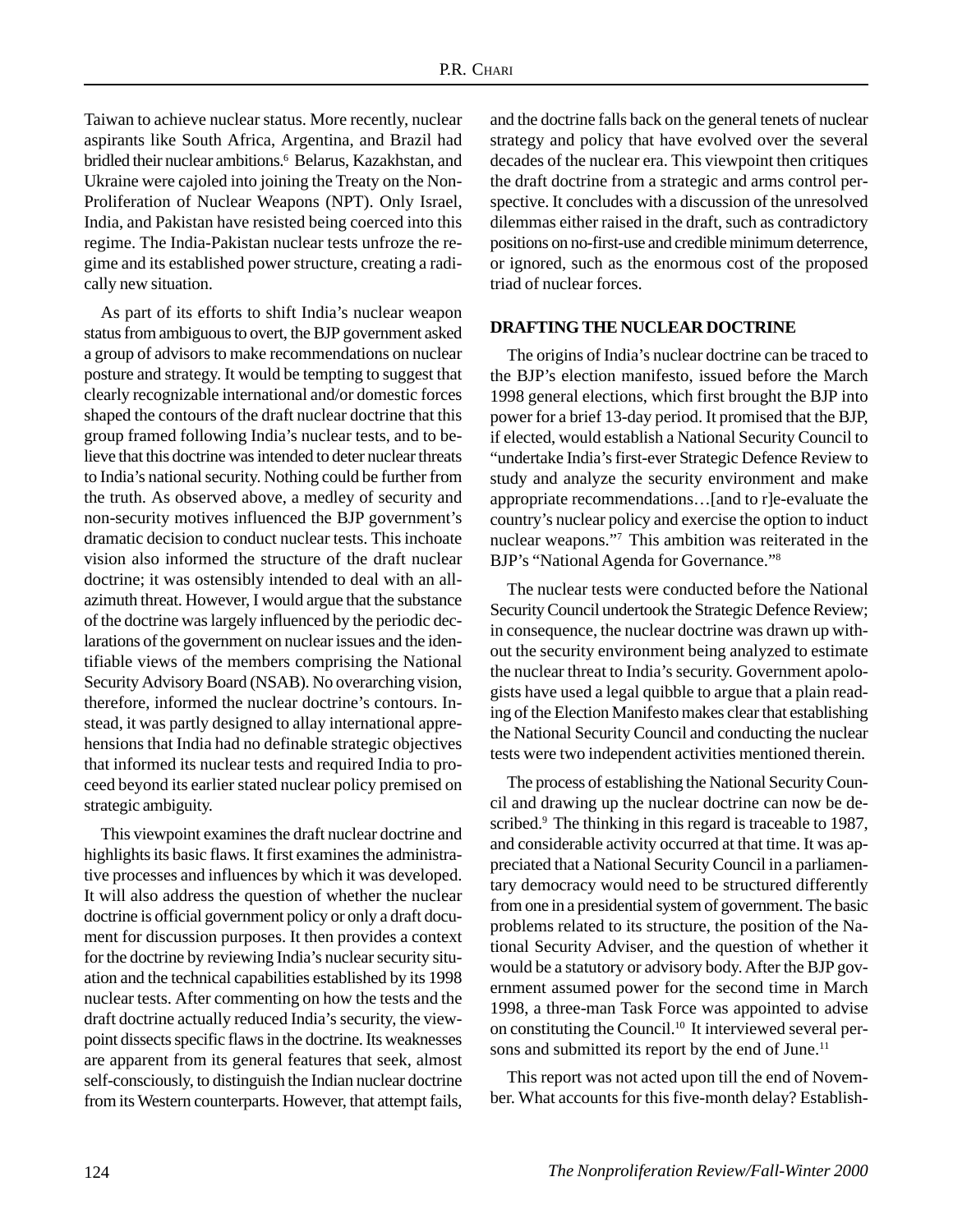Taiwan to achieve nuclear status. More recently, nuclear aspirants like South Africa, Argentina, and Brazil had bridled their nuclear ambitions.<sup>6</sup> Belarus, Kazakhstan, and Ukraine were cajoled into joining the Treaty on the Non-Proliferation of Nuclear Weapons (NPT). Only Israel, India, and Pakistan have resisted being coerced into this regime. The India-Pakistan nuclear tests unfroze the regime and its established power structure, creating a radically new situation.

As part of its efforts to shift India's nuclear weapon status from ambiguous to overt, the BJP government asked a group of advisors to make recommendations on nuclear posture and strategy. It would be tempting to suggest that clearly recognizable international and/or domestic forces shaped the contours of the draft nuclear doctrine that this group framed following India's nuclear tests, and to believe that this doctrine was intended to deter nuclear threats to India's national security. Nothing could be further from the truth. As observed above, a medley of security and non-security motives influenced the BJP government's dramatic decision to conduct nuclear tests. This inchoate vision also informed the structure of the draft nuclear doctrine; it was ostensibly intended to deal with an allazimuth threat. However, I would argue that the substance of the doctrine was largely influenced by the periodic declarations of the government on nuclear issues and the identifiable views of the members comprising the National Security Advisory Board (NSAB). No overarching vision, therefore, informed the nuclear doctrine's contours. Instead, it was partly designed to allay international apprehensions that India had no definable strategic objectives that informed its nuclear tests and required India to proceed beyond its earlier stated nuclear policy premised on strategic ambiguity.

This viewpoint examines the draft nuclear doctrine and highlights its basic flaws. It first examines the administrative processes and influences by which it was developed. It will also address the question of whether the nuclear doctrine is official government policy or only a draft document for discussion purposes. It then provides a context for the doctrine by reviewing India's nuclear security situation and the technical capabilities established by its 1998 nuclear tests. After commenting on how the tests and the draft doctrine actually reduced India's security, the viewpoint dissects specific flaws in the doctrine. Its weaknesses are apparent from its general features that seek, almost self-consciously, to distinguish the Indian nuclear doctrine from its Western counterparts. However, that attempt fails, and the doctrine falls back on the general tenets of nuclear strategy and policy that have evolved over the several decades of the nuclear era. This viewpoint then critiques the draft doctrine from a strategic and arms control perspective. It concludes with a discussion of the unresolved dilemmas either raised in the draft, such as contradictory positions on no-first-use and credible minimum deterrence, or ignored, such as the enormous cost of the proposed triad of nuclear forces.

#### **DRAFTING THE NUCLEAR DOCTRINE**

The origins of India's nuclear doctrine can be traced to the BJP's election manifesto, issued before the March 1998 general elections, which first brought the BJP into power for a brief 13-day period. It promised that the BJP, if elected, would establish a National Security Council to "undertake India's first-ever Strategic Defence Review to study and analyze the security environment and make appropriate recommendations…[and to r]e-evaluate the country's nuclear policy and exercise the option to induct nuclear weapons."7 This ambition was reiterated in the BJP's "National Agenda for Governance."8

The nuclear tests were conducted before the National Security Council undertook the Strategic Defence Review; in consequence, the nuclear doctrine was drawn up without the security environment being analyzed to estimate the nuclear threat to India's security. Government apologists have used a legal quibble to argue that a plain reading of the Election Manifesto makes clear that establishing the National Security Council and conducting the nuclear tests were two independent activities mentioned therein.

The process of establishing the National Security Council and drawing up the nuclear doctrine can now be described.<sup>9</sup> The thinking in this regard is traceable to 1987, and considerable activity occurred at that time. It was appreciated that a National Security Council in a parliamentary democracy would need to be structured differently from one in a presidential system of government. The basic problems related to its structure, the position of the National Security Adviser, and the question of whether it would be a statutory or advisory body. After the BJP government assumed power for the second time in March 1998, a three-man Task Force was appointed to advise on constituting the Council.10 It interviewed several persons and submitted its report by the end of June.<sup>11</sup>

This report was not acted upon till the end of November. What accounts for this five-month delay? Establish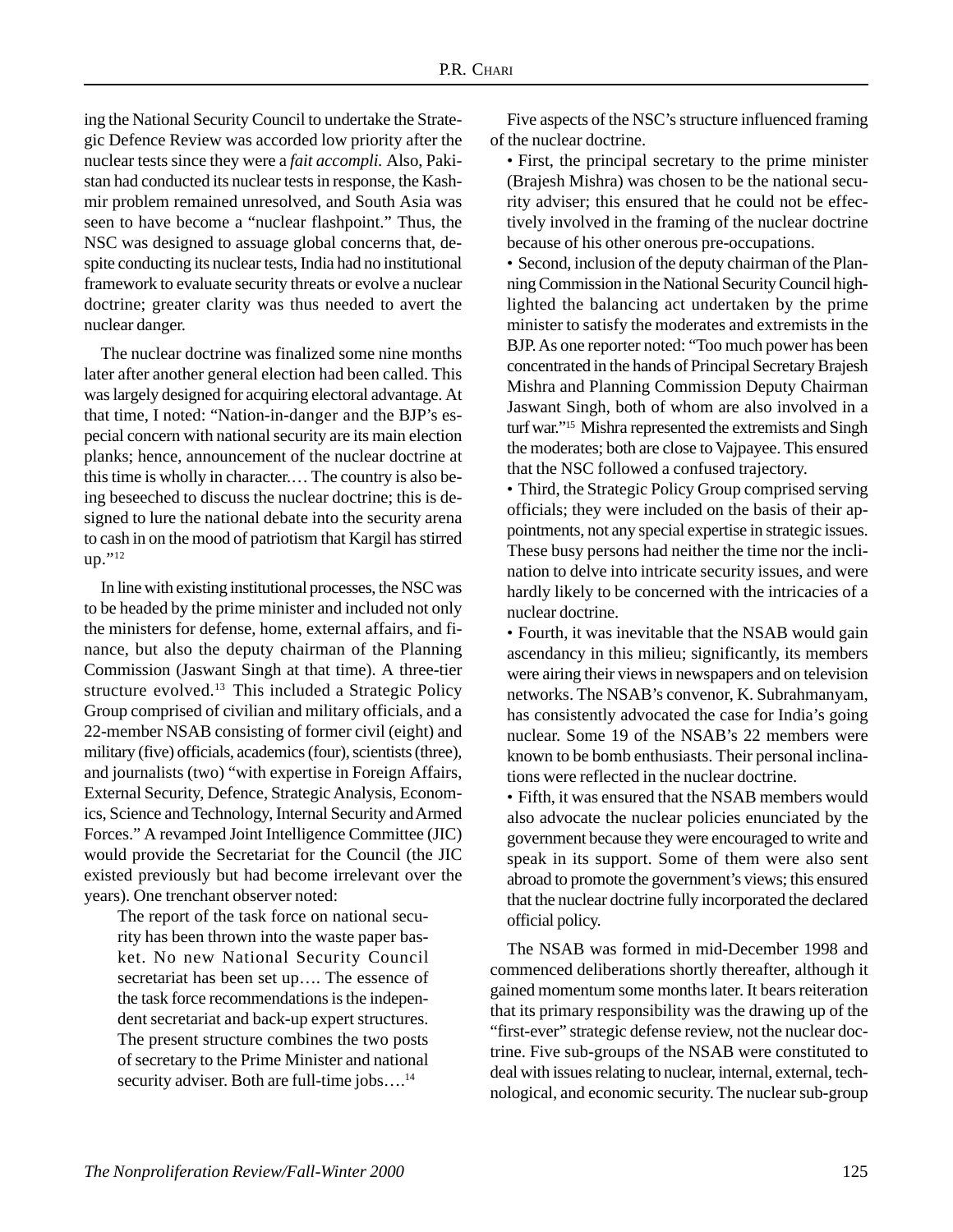ing the National Security Council to undertake the Strategic Defence Review was accorded low priority after the nuclear tests since they were a *fait accompli.* Also, Pakistan had conducted its nuclear tests in response, the Kashmir problem remained unresolved, and South Asia was seen to have become a "nuclear flashpoint." Thus, the NSC was designed to assuage global concerns that, despite conducting its nuclear tests, India had no institutional framework to evaluate security threats or evolve a nuclear doctrine; greater clarity was thus needed to avert the nuclear danger.

The nuclear doctrine was finalized some nine months later after another general election had been called. This was largely designed for acquiring electoral advantage. At that time, I noted: "Nation-in-danger and the BJP's especial concern with national security are its main election planks; hence, announcement of the nuclear doctrine at this time is wholly in character.… The country is also being beseeched to discuss the nuclear doctrine; this is designed to lure the national debate into the security arena to cash in on the mood of patriotism that Kargil has stirred  $up.$ "12

In line with existing institutional processes, the NSC was to be headed by the prime minister and included not only the ministers for defense, home, external affairs, and finance, but also the deputy chairman of the Planning Commission (Jaswant Singh at that time). A three-tier structure evolved.<sup>13</sup> This included a Strategic Policy Group comprised of civilian and military officials, and a 22-member NSAB consisting of former civil (eight) and military (five) officials, academics (four), scientists (three), and journalists (two) "with expertise in Foreign Affairs, External Security, Defence, Strategic Analysis, Economics, Science and Technology, Internal Security and Armed Forces." A revamped Joint Intelligence Committee (JIC) would provide the Secretariat for the Council (the JIC existed previously but had become irrelevant over the years). One trenchant observer noted:

The report of the task force on national security has been thrown into the waste paper basket. No new National Security Council secretariat has been set up…. The essence of the task force recommendations is the independent secretariat and back-up expert structures. The present structure combines the two posts of secretary to the Prime Minister and national security adviser. Both are full-time jobs....<sup>14</sup>

Five aspects of the NSC's structure influenced framing of the nuclear doctrine.

• First, the principal secretary to the prime minister (Brajesh Mishra) was chosen to be the national security adviser; this ensured that he could not be effectively involved in the framing of the nuclear doctrine because of his other onerous pre-occupations.

• Second, inclusion of the deputy chairman of the Planning Commission in the National Security Council highlighted the balancing act undertaken by the prime minister to satisfy the moderates and extremists in the BJP. As one reporter noted: "Too much power has been concentrated in the hands of Principal Secretary Brajesh Mishra and Planning Commission Deputy Chairman Jaswant Singh, both of whom are also involved in a turf war."15 Mishra represented the extremists and Singh the moderates; both are close to Vajpayee. This ensured that the NSC followed a confused trajectory.

• Third, the Strategic Policy Group comprised serving officials; they were included on the basis of their appointments, not any special expertise in strategic issues. These busy persons had neither the time nor the inclination to delve into intricate security issues, and were hardly likely to be concerned with the intricacies of a nuclear doctrine.

• Fourth, it was inevitable that the NSAB would gain ascendancy in this milieu; significantly, its members were airing their views in newspapers and on television networks. The NSAB's convenor, K. Subrahmanyam, has consistently advocated the case for India's going nuclear. Some 19 of the NSAB's 22 members were known to be bomb enthusiasts. Their personal inclinations were reflected in the nuclear doctrine.

• Fifth, it was ensured that the NSAB members would also advocate the nuclear policies enunciated by the government because they were encouraged to write and speak in its support. Some of them were also sent abroad to promote the government's views; this ensured that the nuclear doctrine fully incorporated the declared official policy.

The NSAB was formed in mid-December 1998 and commenced deliberations shortly thereafter, although it gained momentum some months later. It bears reiteration that its primary responsibility was the drawing up of the "first-ever" strategic defense review, not the nuclear doctrine. Five sub-groups of the NSAB were constituted to deal with issues relating to nuclear, internal, external, technological, and economic security. The nuclear sub-group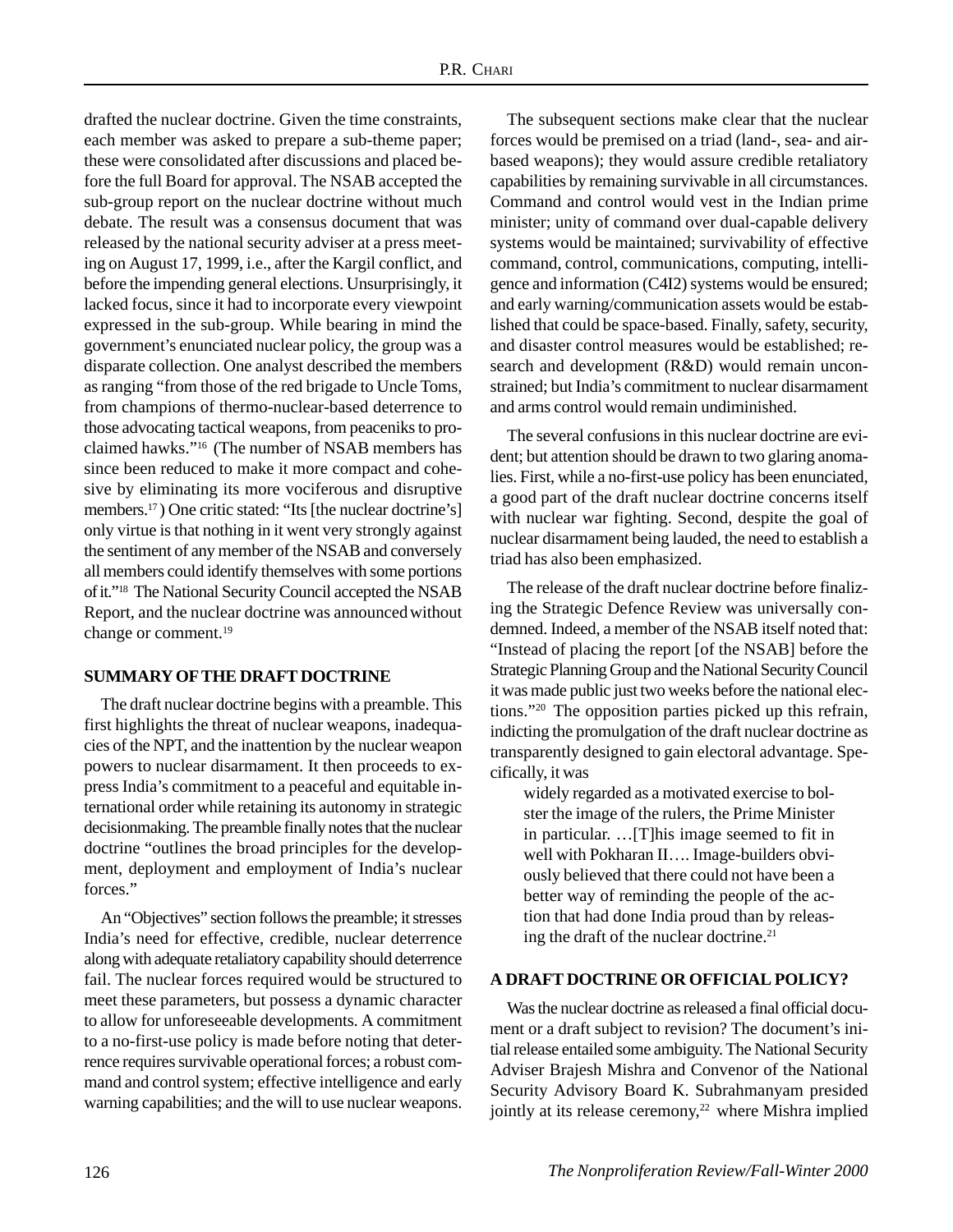drafted the nuclear doctrine. Given the time constraints, each member was asked to prepare a sub-theme paper; these were consolidated after discussions and placed before the full Board for approval. The NSAB accepted the sub-group report on the nuclear doctrine without much debate. The result was a consensus document that was released by the national security adviser at a press meeting on August 17, 1999, i.e., after the Kargil conflict, and before the impending general elections. Unsurprisingly, it lacked focus, since it had to incorporate every viewpoint expressed in the sub-group. While bearing in mind the government's enunciated nuclear policy, the group was a disparate collection. One analyst described the members as ranging "from those of the red brigade to Uncle Toms, from champions of thermo-nuclear-based deterrence to those advocating tactical weapons, from peaceniks to proclaimed hawks."16 (The number of NSAB members has since been reduced to make it more compact and cohesive by eliminating its more vociferous and disruptive members.<sup>17</sup>) One critic stated: "Its [the nuclear doctrine's] only virtue is that nothing in it went very strongly against the sentiment of any member of the NSAB and conversely all members could identify themselves with some portions of it."18 The National Security Council accepted the NSAB Report, and the nuclear doctrine was announcedwithout change or comment.19

#### **SUMMARY OF THE DRAFT DOCTRINE**

The draft nuclear doctrine begins with a preamble. This first highlights the threat of nuclear weapons, inadequacies of the NPT, and the inattention by the nuclear weapon powers to nuclear disarmament. It then proceeds to express India's commitment to a peaceful and equitable international order while retaining its autonomy in strategic decisionmaking. The preamble finally notes that the nuclear doctrine "outlines the broad principles for the development, deployment and employment of India's nuclear forces."

An "Objectives" section follows the preamble; it stresses India's need for effective, credible, nuclear deterrence along with adequate retaliatory capability should deterrence fail. The nuclear forces required would be structured to meet these parameters, but possess a dynamic character to allow for unforeseeable developments. A commitment to a no-first-use policy is made before noting that deterrence requires survivable operational forces; a robust command and control system; effective intelligence and early warning capabilities; and the will to use nuclear weapons.

The subsequent sections make clear that the nuclear forces would be premised on a triad (land-, sea- and airbased weapons); they would assure credible retaliatory capabilities by remaining survivable in all circumstances. Command and control would vest in the Indian prime minister; unity of command over dual-capable delivery systems would be maintained; survivability of effective command, control, communications, computing, intelligence and information (C4I2) systems would be ensured; and early warning/communication assets would be established that could be space-based. Finally, safety, security, and disaster control measures would be established; research and development (R&D) would remain unconstrained; but India's commitment to nuclear disarmament and arms control would remain undiminished.

The several confusions in this nuclear doctrine are evident; but attention should be drawn to two glaring anomalies. First, while a no-first-use policy has been enunciated, a good part of the draft nuclear doctrine concerns itself with nuclear war fighting. Second, despite the goal of nuclear disarmament being lauded, the need to establish a triad has also been emphasized.

The release of the draft nuclear doctrine before finalizing the Strategic Defence Review was universally condemned. Indeed, a member of the NSAB itself noted that: "Instead of placing the report [of the NSAB] before the Strategic Planning Group and the National Security Council it was made public just two weeks before the national elections."20 The opposition parties picked up this refrain, indicting the promulgation of the draft nuclear doctrine as transparently designed to gain electoral advantage. Specifically, it was

widely regarded as a motivated exercise to bolster the image of the rulers, the Prime Minister in particular. …[T]his image seemed to fit in well with Pokharan II…. Image-builders obviously believed that there could not have been a better way of reminding the people of the action that had done India proud than by releasing the draft of the nuclear doctrine.<sup>21</sup>

# **A DRAFT DOCTRINE OR OFFICIAL POLICY?**

Was the nuclear doctrine as released a final official document or a draft subject to revision? The document's initial release entailed some ambiguity. The National Security Adviser Brajesh Mishra and Convenor of the National Security Advisory Board K. Subrahmanyam presided jointly at its release ceremony, $22$  where Mishra implied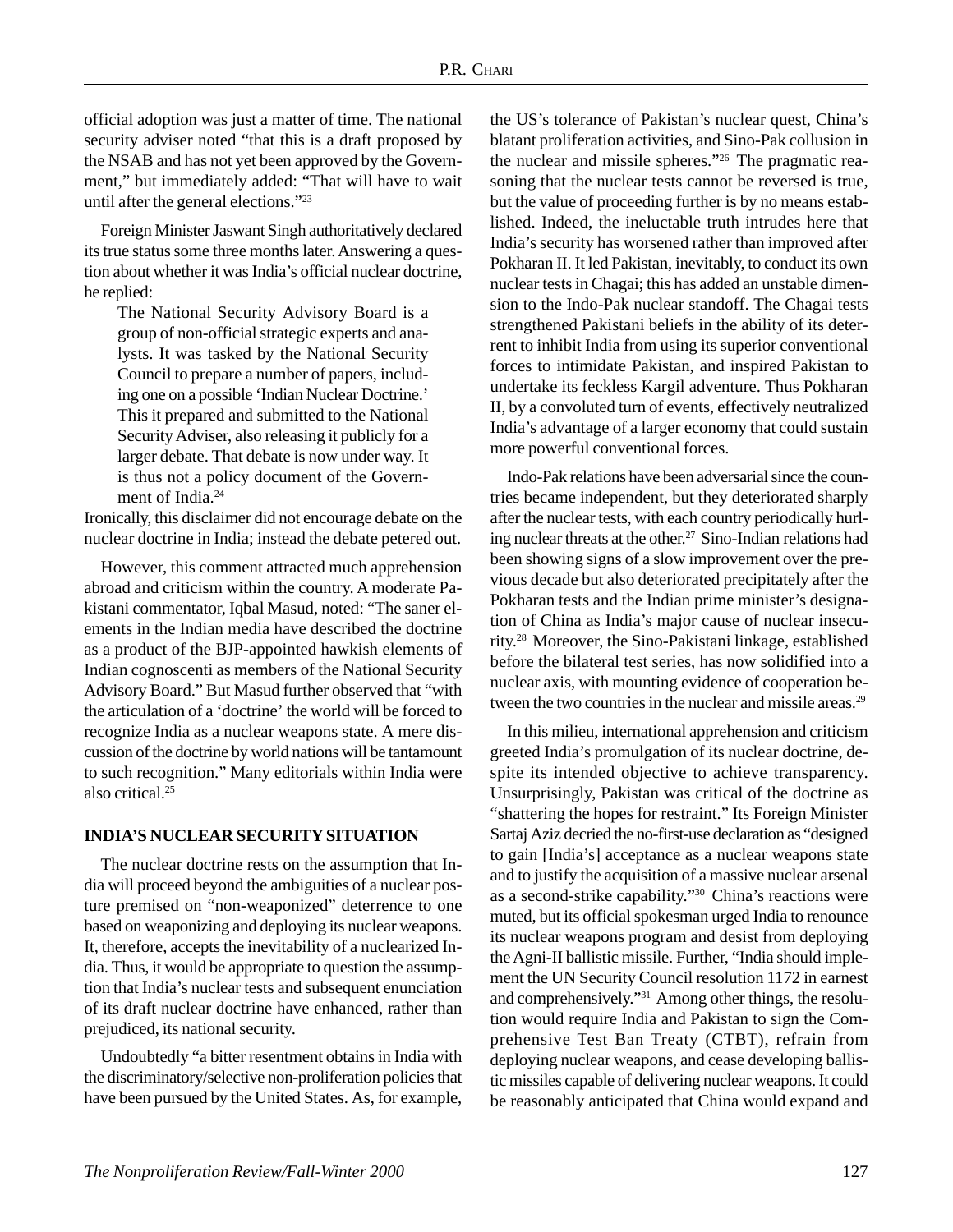official adoption was just a matter of time. The national security adviser noted "that this is a draft proposed by the NSAB and has not yet been approved by the Government," but immediately added: "That will have to wait until after the general elections."23

Foreign Minister Jaswant Singh authoritatively declared its true status some three months later. Answering a question about whether it was India's official nuclear doctrine, he replied:

The National Security Advisory Board is a group of non-official strategic experts and analysts. It was tasked by the National Security Council to prepare a number of papers, including one on a possible 'Indian Nuclear Doctrine.' This it prepared and submitted to the National Security Adviser, also releasing it publicly for a larger debate. That debate is now under way. It is thus not a policy document of the Government of India.<sup>24</sup>

Ironically, this disclaimer did not encourage debate on the nuclear doctrine in India; instead the debate petered out.

However, this comment attracted much apprehension abroad and criticism within the country. A moderate Pakistani commentator, Iqbal Masud, noted: "The saner elements in the Indian media have described the doctrine as a product of the BJP-appointed hawkish elements of Indian cognoscenti as members of the National Security Advisory Board." But Masud further observed that "with the articulation of a 'doctrine' the world will be forced to recognize India as a nuclear weapons state. A mere discussion of the doctrine by world nations will be tantamount to such recognition." Many editorials within India were also critical.25

#### **INDIA'S NUCLEAR SECURITY SITUATION**

The nuclear doctrine rests on the assumption that India will proceed beyond the ambiguities of a nuclear posture premised on "non-weaponized" deterrence to one based on weaponizing and deploying its nuclear weapons. It, therefore, accepts the inevitability of a nuclearized India. Thus, it would be appropriate to question the assumption that India's nuclear tests and subsequent enunciation of its draft nuclear doctrine have enhanced, rather than prejudiced, its national security.

Undoubtedly "a bitter resentment obtains in India with the discriminatory/selective non-proliferation policies that have been pursued by the United States. As, for example, the US's tolerance of Pakistan's nuclear quest, China's blatant proliferation activities, and Sino-Pak collusion in the nuclear and missile spheres."26 The pragmatic reasoning that the nuclear tests cannot be reversed is true, but the value of proceeding further is by no means established. Indeed, the ineluctable truth intrudes here that India's security has worsened rather than improved after Pokharan II. It led Pakistan, inevitably, to conduct its own nuclear tests in Chagai; this has added an unstable dimension to the Indo-Pak nuclear standoff. The Chagai tests strengthened Pakistani beliefs in the ability of its deterrent to inhibit India from using its superior conventional forces to intimidate Pakistan, and inspired Pakistan to undertake its feckless Kargil adventure. Thus Pokharan II, by a convoluted turn of events, effectively neutralized India's advantage of a larger economy that could sustain more powerful conventional forces.

Indo-Pak relations have been adversarial since the countries became independent, but they deteriorated sharply after the nuclear tests, with each country periodically hurling nuclear threats at the other.<sup>27</sup> Sino-Indian relations had been showing signs of a slow improvement over the previous decade but also deteriorated precipitately after the Pokharan tests and the Indian prime minister's designation of China as India's major cause of nuclear insecurity.28 Moreover, the Sino-Pakistani linkage, established before the bilateral test series, has now solidified into a nuclear axis, with mounting evidence of cooperation between the two countries in the nuclear and missile areas.<sup>29</sup>

In this milieu, international apprehension and criticism greeted India's promulgation of its nuclear doctrine, despite its intended objective to achieve transparency. Unsurprisingly, Pakistan was critical of the doctrine as "shattering the hopes for restraint." Its Foreign Minister Sartaj Aziz decried the no-first-use declaration as "designed to gain [India's] acceptance as a nuclear weapons state and to justify the acquisition of a massive nuclear arsenal as a second-strike capability."30 China's reactions were muted, but its official spokesman urged India to renounce its nuclear weapons program and desist from deploying the Agni-II ballistic missile. Further, "India should implement the UN Security Council resolution 1172 in earnest and comprehensively."31 Among other things, the resolution would require India and Pakistan to sign the Comprehensive Test Ban Treaty (CTBT), refrain from deploying nuclear weapons, and cease developing ballistic missiles capable of delivering nuclear weapons. It could be reasonably anticipated that China would expand and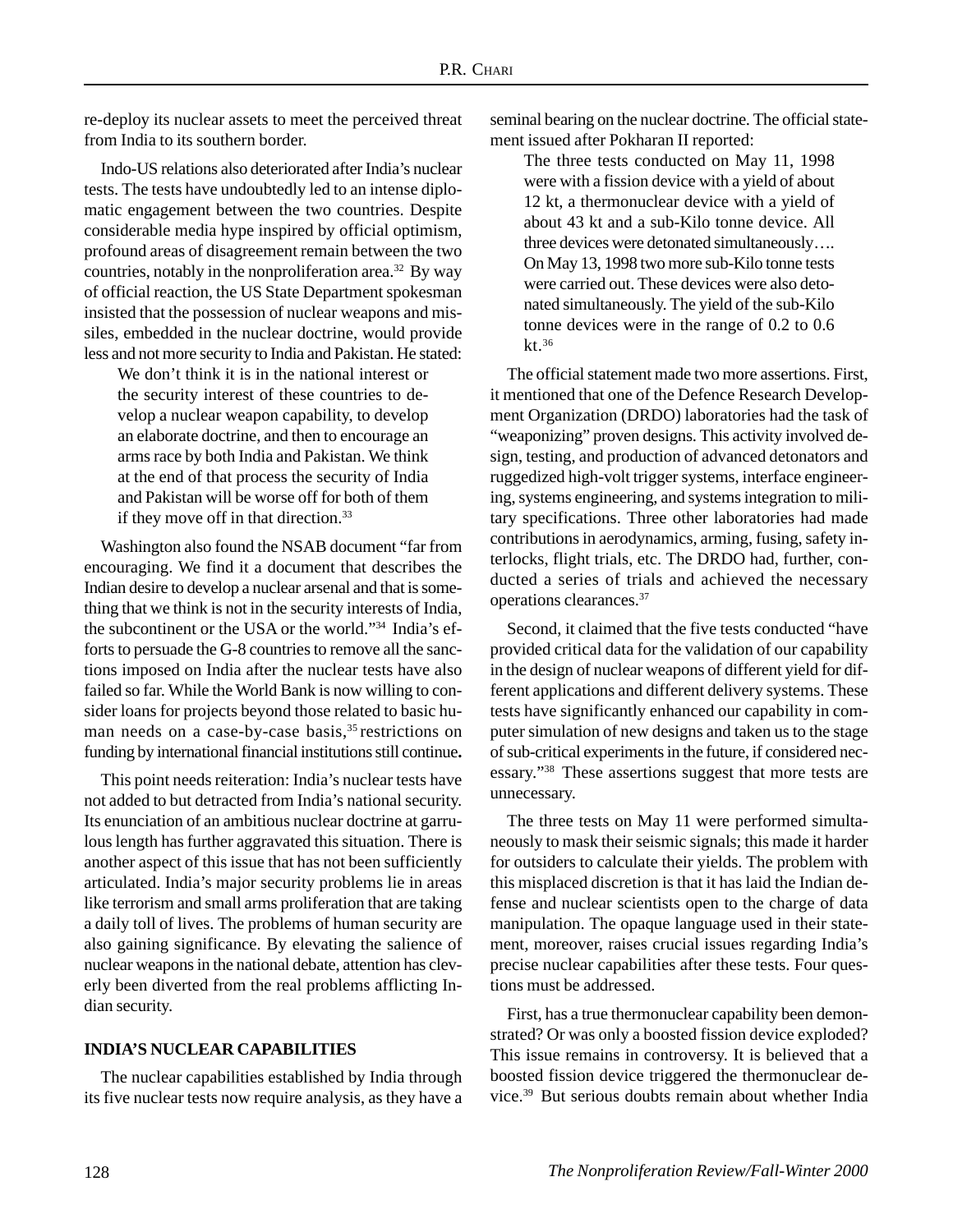re-deploy its nuclear assets to meet the perceived threat from India to its southern border.

Indo-US relations also deteriorated after India's nuclear tests. The tests have undoubtedly led to an intense diplomatic engagement between the two countries. Despite considerable media hype inspired by official optimism, profound areas of disagreement remain between the two countries, notably in the nonproliferation area.<sup>32</sup> By way of official reaction, the US State Department spokesman insisted that the possession of nuclear weapons and missiles, embedded in the nuclear doctrine, would provide less and not more security to India and Pakistan. He stated:

We don't think it is in the national interest or the security interest of these countries to develop a nuclear weapon capability, to develop an elaborate doctrine, and then to encourage an arms race by both India and Pakistan. We think at the end of that process the security of India and Pakistan will be worse off for both of them if they move off in that direction.<sup>33</sup>

Washington also found the NSAB document "far from encouraging. We find it a document that describes the Indian desire to develop a nuclear arsenal and that is something that we think is not in the security interests of India, the subcontinent or the USA or the world."34 India's efforts to persuade the G-8 countries to remove all the sanctions imposed on India after the nuclear tests have also failed so far. While the World Bank is now willing to consider loans for projects beyond those related to basic human needs on a case-by-case basis,<sup>35</sup> restrictions on funding by international financial institutions still continue**.**

This point needs reiteration: India's nuclear tests have not added to but detracted from India's national security. Its enunciation of an ambitious nuclear doctrine at garrulous length has further aggravated this situation. There is another aspect of this issue that has not been sufficiently articulated. India's major security problems lie in areas like terrorism and small arms proliferation that are taking a daily toll of lives. The problems of human security are also gaining significance. By elevating the salience of nuclear weapons in the national debate, attention has cleverly been diverted from the real problems afflicting Indian security.

### **INDIA'S NUCLEAR CAPABILITIES**

The nuclear capabilities established by India through its five nuclear tests now require analysis, as they have a seminal bearing on the nuclear doctrine. The official statement issued after Pokharan II reported:

The three tests conducted on May 11, 1998 were with a fission device with a yield of about 12 kt, a thermonuclear device with a yield of about 43 kt and a sub-Kilo tonne device. All three devices were detonated simultaneously…. On May 13, 1998 two more sub-Kilo tonne tests were carried out. These devices were also detonated simultaneously. The yield of the sub-Kilo tonne devices were in the range of 0.2 to 0.6  $kt^{36}$ 

The official statement made two more assertions. First, it mentioned that one of the Defence Research Development Organization (DRDO) laboratories had the task of "weaponizing" proven designs. This activity involved design, testing, and production of advanced detonators and ruggedized high-volt trigger systems, interface engineering, systems engineering, and systems integration to military specifications. Three other laboratories had made contributions in aerodynamics, arming, fusing, safety interlocks, flight trials, etc. The DRDO had, further, conducted a series of trials and achieved the necessary operations clearances.37

Second, it claimed that the five tests conducted "have provided critical data for the validation of our capability in the design of nuclear weapons of different yield for different applications and different delivery systems. These tests have significantly enhanced our capability in computer simulation of new designs and taken us to the stage of sub-critical experiments in the future, if considered necessary."38 These assertions suggest that more tests are unnecessary.

The three tests on May 11 were performed simultaneously to mask their seismic signals; this made it harder for outsiders to calculate their yields. The problem with this misplaced discretion is that it has laid the Indian defense and nuclear scientists open to the charge of data manipulation. The opaque language used in their statement, moreover, raises crucial issues regarding India's precise nuclear capabilities after these tests. Four questions must be addressed.

First, has a true thermonuclear capability been demonstrated? Or was only a boosted fission device exploded? This issue remains in controversy. It is believed that a boosted fission device triggered the thermonuclear device.39 But serious doubts remain about whether India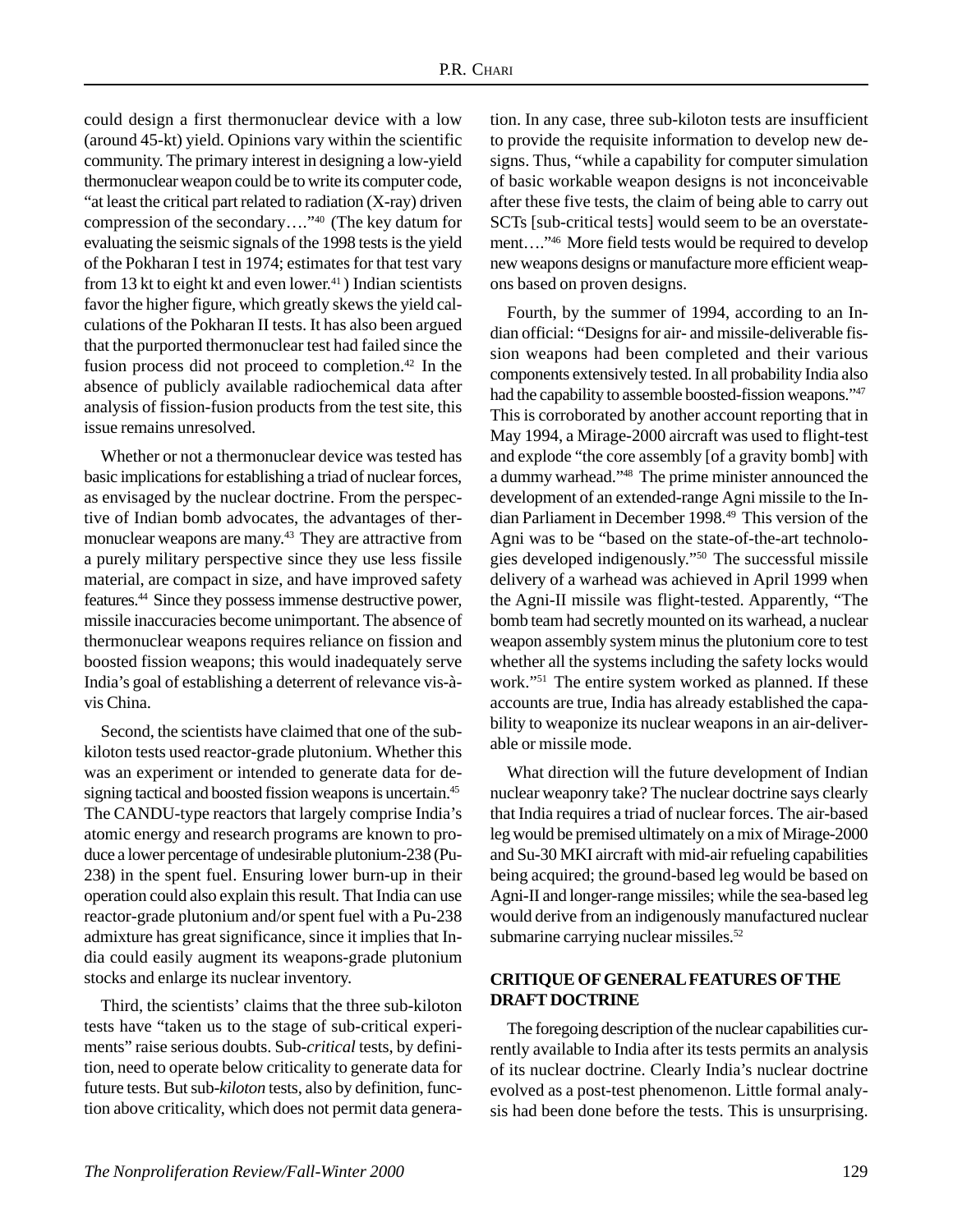could design a first thermonuclear device with a low (around 45-kt) yield. Opinions vary within the scientific community. The primary interest in designing a low-yield thermonuclear weapon could be to write its computer code, "at least the critical part related to radiation (X-ray) driven compression of the secondary…."40 (The key datum for evaluating the seismic signals of the 1998 tests is the yield of the Pokharan I test in 1974; estimates for that test vary from 13 kt to eight kt and even lower.<sup>41</sup>) Indian scientists favor the higher figure, which greatly skews the yield calculations of the Pokharan II tests. It has also been argued that the purported thermonuclear test had failed since the fusion process did not proceed to completion.<sup>42</sup> In the absence of publicly available radiochemical data after analysis of fission-fusion products from the test site, this issue remains unresolved.

Whether or not a thermonuclear device was tested has basic implications for establishing a triad of nuclear forces, as envisaged by the nuclear doctrine. From the perspective of Indian bomb advocates, the advantages of thermonuclear weapons are many.<sup>43</sup> They are attractive from a purely military perspective since they use less fissile material, are compact in size, and have improved safety features.44 Since they possess immense destructive power, missile inaccuracies become unimportant. The absence of thermonuclear weapons requires reliance on fission and boosted fission weapons; this would inadequately serve India's goal of establishing a deterrent of relevance vis-àvis China.

Second, the scientists have claimed that one of the subkiloton tests used reactor-grade plutonium. Whether this was an experiment or intended to generate data for designing tactical and boosted fission weapons is uncertain.<sup>45</sup> The CANDU-type reactors that largely comprise India's atomic energy and research programs are known to produce a lower percentage of undesirable plutonium-238 (Pu-238) in the spent fuel. Ensuring lower burn-up in their operation could also explain this result. That India can use reactor-grade plutonium and/or spent fuel with a Pu-238 admixture has great significance, since it implies that India could easily augment its weapons-grade plutonium stocks and enlarge its nuclear inventory.

Third, the scientists' claims that the three sub-kiloton tests have "taken us to the stage of sub-critical experiments" raise serious doubts. Sub-*critical* tests, by definition, need to operate below criticality to generate data for future tests. But sub-*kiloton* tests, also by definition, function above criticality, which does not permit data generation. In any case, three sub-kiloton tests are insufficient to provide the requisite information to develop new designs. Thus, "while a capability for computer simulation of basic workable weapon designs is not inconceivable after these five tests, the claim of being able to carry out SCTs [sub-critical tests] would seem to be an overstatement…."46 More field tests would be required to develop new weapons designs or manufacture more efficient weapons based on proven designs.

Fourth, by the summer of 1994, according to an Indian official: "Designs for air- and missile-deliverable fission weapons had been completed and their various components extensively tested. In all probability India also had the capability to assemble boosted-fission weapons."47 This is corroborated by another account reporting that in May 1994, a Mirage-2000 aircraft was used to flight-test and explode "the core assembly [of a gravity bomb] with a dummy warhead."48 The prime minister announced the development of an extended-range Agni missile to the Indian Parliament in December 1998.<sup>49</sup> This version of the Agni was to be "based on the state-of-the-art technologies developed indigenously."50 The successful missile delivery of a warhead was achieved in April 1999 when the Agni-II missile was flight-tested. Apparently, "The bomb team had secretly mounted on its warhead, a nuclear weapon assembly system minus the plutonium core to test whether all the systems including the safety locks would work."51 The entire system worked as planned. If these accounts are true, India has already established the capability to weaponize its nuclear weapons in an air-deliverable or missile mode.

What direction will the future development of Indian nuclear weaponry take? The nuclear doctrine says clearly that India requires a triad of nuclear forces. The air-based leg would be premised ultimately on a mix of Mirage-2000 and Su-30 MKI aircraft with mid-air refueling capabilities being acquired; the ground-based leg would be based on Agni-II and longer-range missiles; while the sea-based leg would derive from an indigenously manufactured nuclear submarine carrying nuclear missiles.<sup>52</sup>

# **CRITIQUE OF GENERAL FEATURES OF THE DRAFT DOCTRINE**

The foregoing description of the nuclear capabilities currently available to India after its tests permits an analysis of its nuclear doctrine. Clearly India's nuclear doctrine evolved as a post-test phenomenon. Little formal analysis had been done before the tests. This is unsurprising.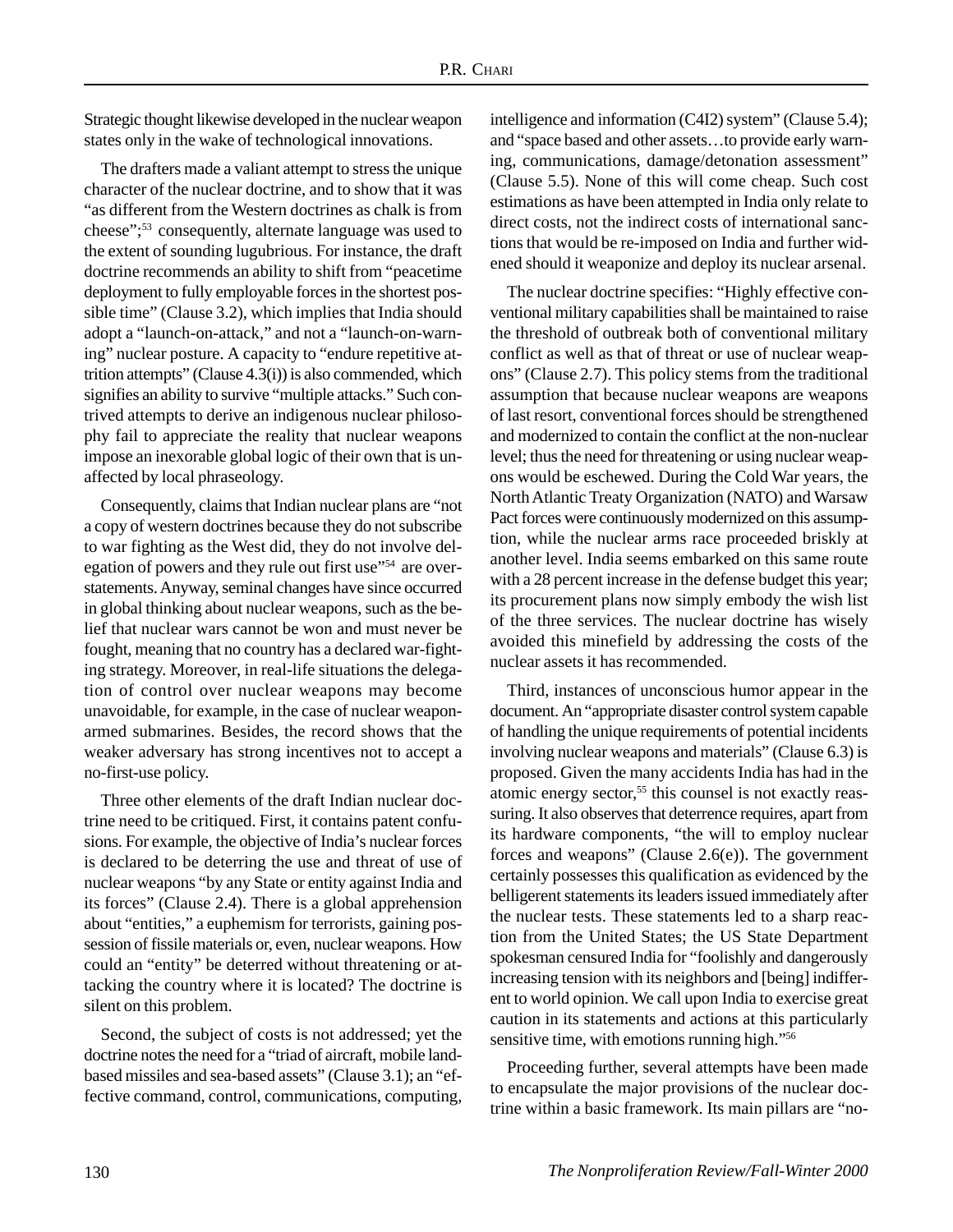Strategic thought likewise developed in the nuclear weapon states only in the wake of technological innovations.

The drafters made a valiant attempt to stress the unique character of the nuclear doctrine, and to show that it was "as different from the Western doctrines as chalk is from cheese";53 consequently, alternate language was used to the extent of sounding lugubrious. For instance, the draft doctrine recommends an ability to shift from "peacetime deployment to fully employable forces in the shortest possible time" (Clause 3.2), which implies that India should adopt a "launch-on-attack," and not a "launch-on-warning" nuclear posture. A capacity to "endure repetitive attrition attempts" (Clause 4.3(i)) is also commended, which signifies an ability to survive "multiple attacks." Such contrived attempts to derive an indigenous nuclear philosophy fail to appreciate the reality that nuclear weapons impose an inexorable global logic of their own that is unaffected by local phraseology.

Consequently, claims that Indian nuclear plans are "not a copy of western doctrines because they do not subscribe to war fighting as the West did, they do not involve delegation of powers and they rule out first use<sup>"54</sup> are overstatements. Anyway, seminal changes have since occurred in global thinking about nuclear weapons, such as the belief that nuclear wars cannot be won and must never be fought, meaning that no country has a declared war-fighting strategy. Moreover, in real-life situations the delegation of control over nuclear weapons may become unavoidable, for example, in the case of nuclear weaponarmed submarines. Besides, the record shows that the weaker adversary has strong incentives not to accept a no-first-use policy.

Three other elements of the draft Indian nuclear doctrine need to be critiqued. First, it contains patent confusions. For example, the objective of India's nuclear forces is declared to be deterring the use and threat of use of nuclear weapons "by any State or entity against India and its forces" (Clause 2.4). There is a global apprehension about "entities," a euphemism for terrorists, gaining possession of fissile materials or, even, nuclear weapons. How could an "entity" be deterred without threatening or attacking the country where it is located? The doctrine is silent on this problem.

Second, the subject of costs is not addressed; yet the doctrine notes the need for a "triad of aircraft, mobile landbased missiles and sea-based assets" (Clause 3.1); an "effective command, control, communications, computing, intelligence and information (C4I2) system" (Clause 5.4); and "space based and other assets…to provide early warning, communications, damage/detonation assessment" (Clause 5.5). None of this will come cheap. Such cost estimations as have been attempted in India only relate to direct costs, not the indirect costs of international sanctions that would be re-imposed on India and further widened should it weaponize and deploy its nuclear arsenal.

The nuclear doctrine specifies: "Highly effective conventional military capabilities shall be maintained to raise the threshold of outbreak both of conventional military conflict as well as that of threat or use of nuclear weapons" (Clause 2.7). This policy stems from the traditional assumption that because nuclear weapons are weapons of last resort, conventional forces should be strengthened and modernized to contain the conflict at the non-nuclear level; thus the need for threatening or using nuclear weapons would be eschewed. During the Cold War years, the North Atlantic Treaty Organization (NATO) and Warsaw Pact forces were continuously modernized on this assumption, while the nuclear arms race proceeded briskly at another level. India seems embarked on this same route with a 28 percent increase in the defense budget this year; its procurement plans now simply embody the wish list of the three services. The nuclear doctrine has wisely avoided this minefield by addressing the costs of the nuclear assets it has recommended.

Third, instances of unconscious humor appear in the document. An "appropriate disaster control system capable of handling the unique requirements of potential incidents involving nuclear weapons and materials" (Clause 6.3) is proposed. Given the many accidents India has had in the atomic energy sector,<sup>55</sup> this counsel is not exactly reassuring. It also observes that deterrence requires, apart from its hardware components, "the will to employ nuclear forces and weapons" (Clause 2.6(e)). The government certainly possesses this qualification as evidenced by the belligerent statements its leaders issued immediately after the nuclear tests. These statements led to a sharp reaction from the United States; the US State Department spokesman censured India for "foolishly and dangerously increasing tension with its neighbors and [being] indifferent to world opinion. We call upon India to exercise great caution in its statements and actions at this particularly sensitive time, with emotions running high."<sup>56</sup>

Proceeding further, several attempts have been made to encapsulate the major provisions of the nuclear doctrine within a basic framework. Its main pillars are "no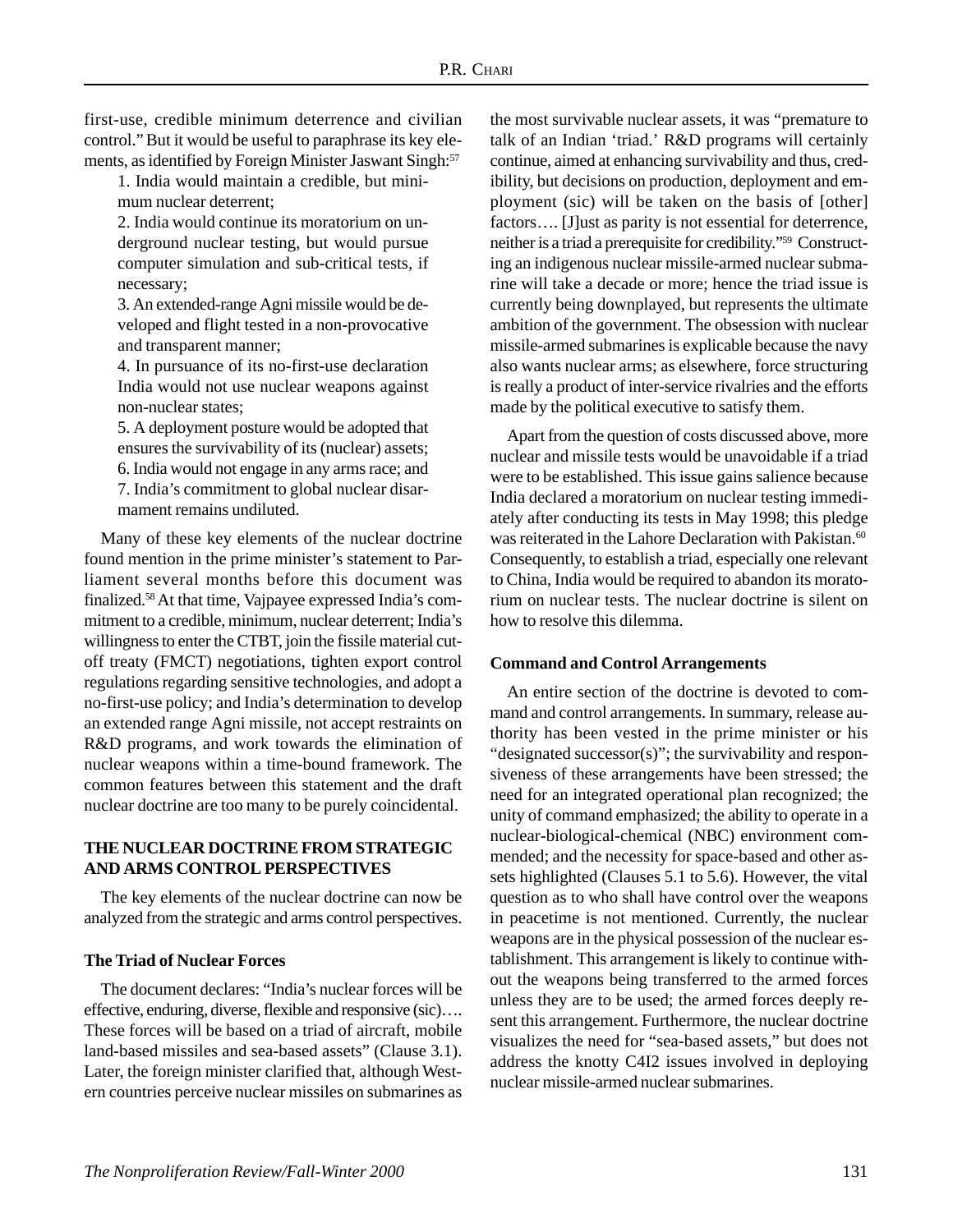first-use, credible minimum deterrence and civilian control." But it would be useful to paraphrase its key elements, as identified by Foreign Minister Jaswant Singh:<sup>57</sup>

1. India would maintain a credible, but minimum nuclear deterrent;

2. India would continue its moratorium on underground nuclear testing, but would pursue computer simulation and sub-critical tests, if necessary;

3. An extended-range Agni missile would be developed and flight tested in a non-provocative and transparent manner;

4. In pursuance of its no-first-use declaration India would not use nuclear weapons against non-nuclear states;

5. A deployment posture would be adopted that ensures the survivability of its (nuclear) assets; 6. India would not engage in any arms race; and 7. India's commitment to global nuclear disarmament remains undiluted.

Many of these key elements of the nuclear doctrine found mention in the prime minister's statement to Parliament several months before this document was finalized.58At that time, Vajpayee expressed India's commitment to a credible, minimum, nuclear deterrent; India's willingness to enter the CTBT, join the fissile material cutoff treaty (FMCT) negotiations, tighten export control regulations regarding sensitive technologies, and adopt a no-first-use policy; and India's determination to develop an extended range Agni missile, not accept restraints on R&D programs, and work towards the elimination of nuclear weapons within a time-bound framework. The common features between this statement and the draft nuclear doctrine are too many to be purely coincidental.

## **THE NUCLEAR DOCTRINE FROM STRATEGIC AND ARMS CONTROL PERSPECTIVES**

The key elements of the nuclear doctrine can now be analyzed from the strategic and arms control perspectives.

#### **The Triad of Nuclear Forces**

The document declares: "India's nuclear forces will be effective, enduring, diverse, flexible and responsive (sic)…. These forces will be based on a triad of aircraft, mobile land-based missiles and sea-based assets" (Clause 3.1). Later, the foreign minister clarified that, although Western countries perceive nuclear missiles on submarines as the most survivable nuclear assets, it was "premature to talk of an Indian 'triad.' R&D programs will certainly continue, aimed at enhancing survivability and thus, credibility, but decisions on production, deployment and employment (sic) will be taken on the basis of [other] factors…. [J]ust as parity is not essential for deterrence, neither is a triad a prerequisite for credibility."59 Constructing an indigenous nuclear missile-armed nuclear submarine will take a decade or more; hence the triad issue is currently being downplayed, but represents the ultimate ambition of the government. The obsession with nuclear missile-armed submarines is explicable because the navy also wants nuclear arms; as elsewhere, force structuring is really a product of inter-service rivalries and the efforts made by the political executive to satisfy them.

Apart from the question of costs discussed above, more nuclear and missile tests would be unavoidable if a triad were to be established. This issue gains salience because India declared a moratorium on nuclear testing immediately after conducting its tests in May 1998; this pledge was reiterated in the Lahore Declaration with Pakistan.<sup>60</sup> Consequently, to establish a triad, especially one relevant to China, India would be required to abandon its moratorium on nuclear tests. The nuclear doctrine is silent on how to resolve this dilemma.

#### **Command and Control Arrangements**

An entire section of the doctrine is devoted to command and control arrangements. In summary, release authority has been vested in the prime minister or his "designated successor(s)"; the survivability and responsiveness of these arrangements have been stressed; the need for an integrated operational plan recognized; the unity of command emphasized; the ability to operate in a nuclear-biological-chemical (NBC) environment commended; and the necessity for space-based and other assets highlighted (Clauses 5.1 to 5.6). However, the vital question as to who shall have control over the weapons in peacetime is not mentioned. Currently, the nuclear weapons are in the physical possession of the nuclear establishment. This arrangement is likely to continue without the weapons being transferred to the armed forces unless they are to be used; the armed forces deeply resent this arrangement. Furthermore, the nuclear doctrine visualizes the need for "sea-based assets," but does not address the knotty C4I2 issues involved in deploying nuclear missile-armed nuclear submarines.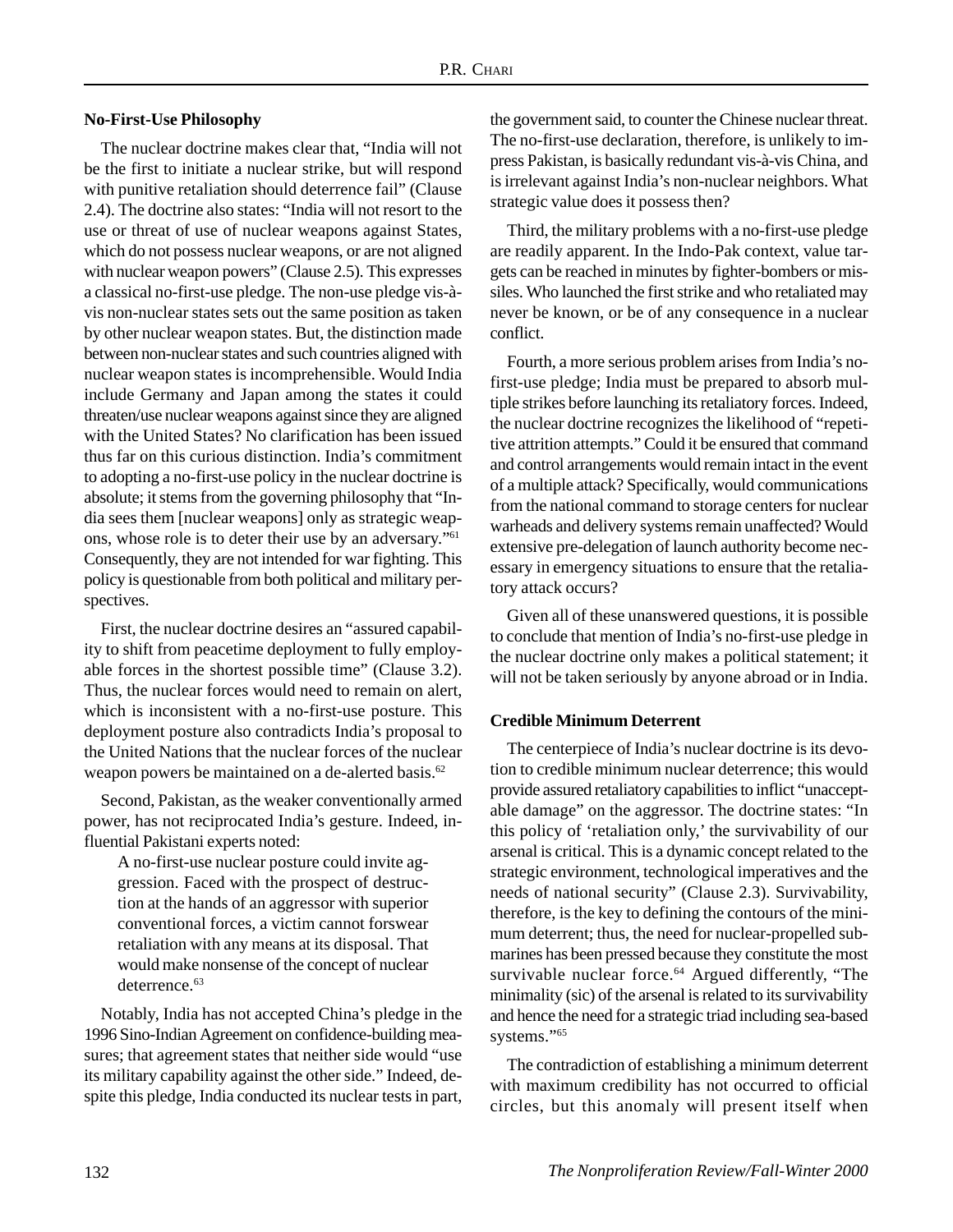## **No-First-Use Philosophy**

The nuclear doctrine makes clear that, "India will not be the first to initiate a nuclear strike, but will respond with punitive retaliation should deterrence fail" (Clause 2.4). The doctrine also states: "India will not resort to the use or threat of use of nuclear weapons against States, which do not possess nuclear weapons, or are not aligned with nuclear weapon powers" (Clause 2.5). This expresses a classical no-first-use pledge. The non-use pledge vis-àvis non-nuclear states sets out the same position as taken by other nuclear weapon states. But, the distinction made between non-nuclear states and such countries aligned with nuclear weapon states is incomprehensible. Would India include Germany and Japan among the states it could threaten/use nuclear weapons against since they are aligned with the United States? No clarification has been issued thus far on this curious distinction. India's commitment to adopting a no-first-use policy in the nuclear doctrine is absolute; it stems from the governing philosophy that "India sees them [nuclear weapons] only as strategic weapons, whose role is to deter their use by an adversary."61 Consequently, they are not intended for war fighting. This policy is questionable from both political and military perspectives.

First, the nuclear doctrine desires an "assured capability to shift from peacetime deployment to fully employable forces in the shortest possible time" (Clause 3.2). Thus, the nuclear forces would need to remain on alert, which is inconsistent with a no-first-use posture. This deployment posture also contradicts India's proposal to the United Nations that the nuclear forces of the nuclear weapon powers be maintained on a de-alerted basis.<sup>62</sup>

Second, Pakistan, as the weaker conventionally armed power, has not reciprocated India's gesture. Indeed, influential Pakistani experts noted:

A no-first-use nuclear posture could invite aggression. Faced with the prospect of destruction at the hands of an aggressor with superior conventional forces, a victim cannot forswear retaliation with any means at its disposal. That would make nonsense of the concept of nuclear deterrence.<sup>63</sup>

Notably, India has not accepted China's pledge in the 1996 Sino-Indian Agreement on confidence-building measures; that agreement states that neither side would "use its military capability against the other side." Indeed, despite this pledge, India conducted its nuclear tests in part, the government said, to counter the Chinese nuclear threat. The no-first-use declaration, therefore, is unlikely to impress Pakistan, is basically redundant vis-à-vis China, and is irrelevant against India's non-nuclear neighbors. What strategic value does it possess then?

Third, the military problems with a no-first-use pledge are readily apparent. In the Indo-Pak context, value targets can be reached in minutes by fighter-bombers or missiles. Who launched the first strike and who retaliated may never be known, or be of any consequence in a nuclear conflict.

Fourth, a more serious problem arises from India's nofirst-use pledge; India must be prepared to absorb multiple strikes before launching its retaliatory forces. Indeed, the nuclear doctrine recognizes the likelihood of "repetitive attrition attempts." Could it be ensured that command and control arrangements would remain intact in the event of a multiple attack? Specifically, would communications from the national command to storage centers for nuclear warheads and delivery systems remain unaffected? Would extensive pre-delegation of launch authority become necessary in emergency situations to ensure that the retaliatory attack occurs?

Given all of these unanswered questions, it is possible to conclude that mention of India's no-first-use pledge in the nuclear doctrine only makes a political statement; it will not be taken seriously by anyone abroad or in India.

### **Credible Minimum Deterrent**

The centerpiece of India's nuclear doctrine is its devotion to credible minimum nuclear deterrence; this would provide assured retaliatory capabilities to inflict "unacceptable damage" on the aggressor. The doctrine states: "In this policy of 'retaliation only,' the survivability of our arsenal is critical. This is a dynamic concept related to the strategic environment, technological imperatives and the needs of national security" (Clause 2.3). Survivability, therefore, is the key to defining the contours of the minimum deterrent; thus, the need for nuclear-propelled submarines has been pressed because they constitute the most survivable nuclear force.<sup>64</sup> Argued differently, "The minimality (sic) of the arsenal is related to its survivability and hence the need for a strategic triad including sea-based systems."<sup>65</sup>

The contradiction of establishing a minimum deterrent with maximum credibility has not occurred to official circles, but this anomaly will present itself when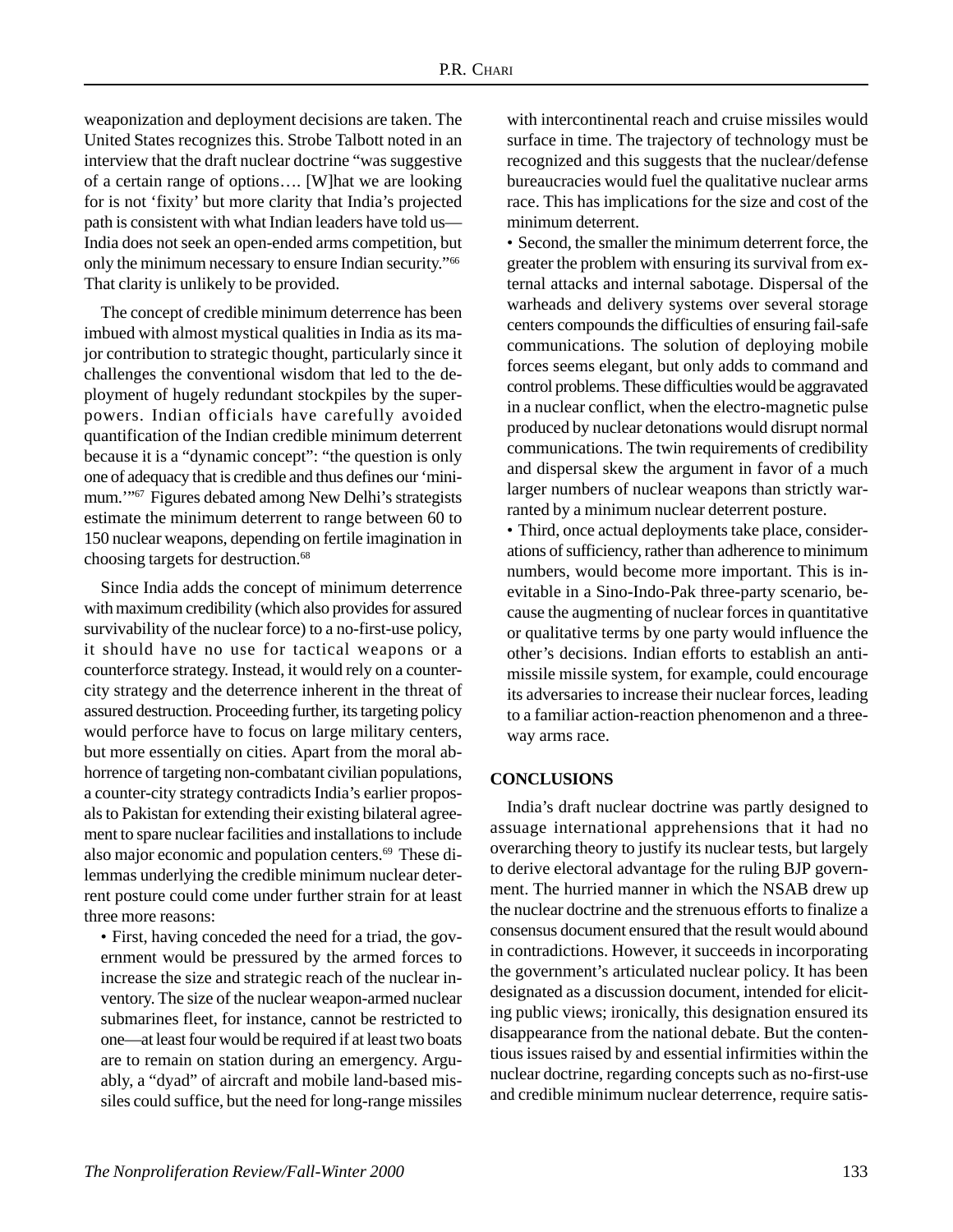weaponization and deployment decisions are taken. The United States recognizes this. Strobe Talbott noted in an interview that the draft nuclear doctrine "was suggestive of a certain range of options…. [W]hat we are looking for is not 'fixity' but more clarity that India's projected path is consistent with what Indian leaders have told us— India does not seek an open-ended arms competition, but only the minimum necessary to ensure Indian security."66 That clarity is unlikely to be provided.

The concept of credible minimum deterrence has been imbued with almost mystical qualities in India as its major contribution to strategic thought, particularly since it challenges the conventional wisdom that led to the deployment of hugely redundant stockpiles by the superpowers. Indian officials have carefully avoided quantification of the Indian credible minimum deterrent because it is a "dynamic concept": "the question is only one of adequacy that is credible and thus defines our 'minimum.'"67 Figures debated among New Delhi's strategists estimate the minimum deterrent to range between 60 to 150 nuclear weapons, depending on fertile imagination in choosing targets for destruction.68

Since India adds the concept of minimum deterrence with maximum credibility (which also provides for assured survivability of the nuclear force) to a no-first-use policy, it should have no use for tactical weapons or a counterforce strategy. Instead, it would rely on a countercity strategy and the deterrence inherent in the threat of assured destruction. Proceeding further, its targeting policy would perforce have to focus on large military centers, but more essentially on cities. Apart from the moral abhorrence of targeting non-combatant civilian populations, a counter-city strategy contradicts India's earlier proposals to Pakistan for extending their existing bilateral agreement to spare nuclear facilities and installations to include also major economic and population centers.<sup>69</sup> These dilemmas underlying the credible minimum nuclear deterrent posture could come under further strain for at least three more reasons:

• First, having conceded the need for a triad, the government would be pressured by the armed forces to increase the size and strategic reach of the nuclear inventory. The size of the nuclear weapon-armed nuclear submarines fleet, for instance, cannot be restricted to one—at least four would be required if at least two boats are to remain on station during an emergency. Arguably, a "dyad" of aircraft and mobile land-based missiles could suffice, but the need for long-range missiles with intercontinental reach and cruise missiles would surface in time. The trajectory of technology must be recognized and this suggests that the nuclear/defense bureaucracies would fuel the qualitative nuclear arms race. This has implications for the size and cost of the minimum deterrent.

• Second, the smaller the minimum deterrent force, the greater the problem with ensuring its survival from external attacks and internal sabotage. Dispersal of the warheads and delivery systems over several storage centers compounds the difficulties of ensuring fail-safe communications. The solution of deploying mobile forces seems elegant, but only adds to command and control problems. These difficulties would be aggravated in a nuclear conflict, when the electro-magnetic pulse produced by nuclear detonations would disrupt normal communications. The twin requirements of credibility and dispersal skew the argument in favor of a much larger numbers of nuclear weapons than strictly warranted by a minimum nuclear deterrent posture.

• Third, once actual deployments take place, considerations of sufficiency, rather than adherence to minimum numbers, would become more important. This is inevitable in a Sino-Indo-Pak three-party scenario, because the augmenting of nuclear forces in quantitative or qualitative terms by one party would influence the other's decisions. Indian efforts to establish an antimissile missile system, for example, could encourage its adversaries to increase their nuclear forces, leading to a familiar action-reaction phenomenon and a threeway arms race.

#### **CONCLUSIONS**

India's draft nuclear doctrine was partly designed to assuage international apprehensions that it had no overarching theory to justify its nuclear tests, but largely to derive electoral advantage for the ruling BJP government. The hurried manner in which the NSAB drew up the nuclear doctrine and the strenuous efforts to finalize a consensus document ensured that the result would abound in contradictions. However, it succeeds in incorporating the government's articulated nuclear policy. It has been designated as a discussion document, intended for eliciting public views; ironically, this designation ensured its disappearance from the national debate. But the contentious issues raised by and essential infirmities within the nuclear doctrine, regarding concepts such as no-first-use and credible minimum nuclear deterrence, require satis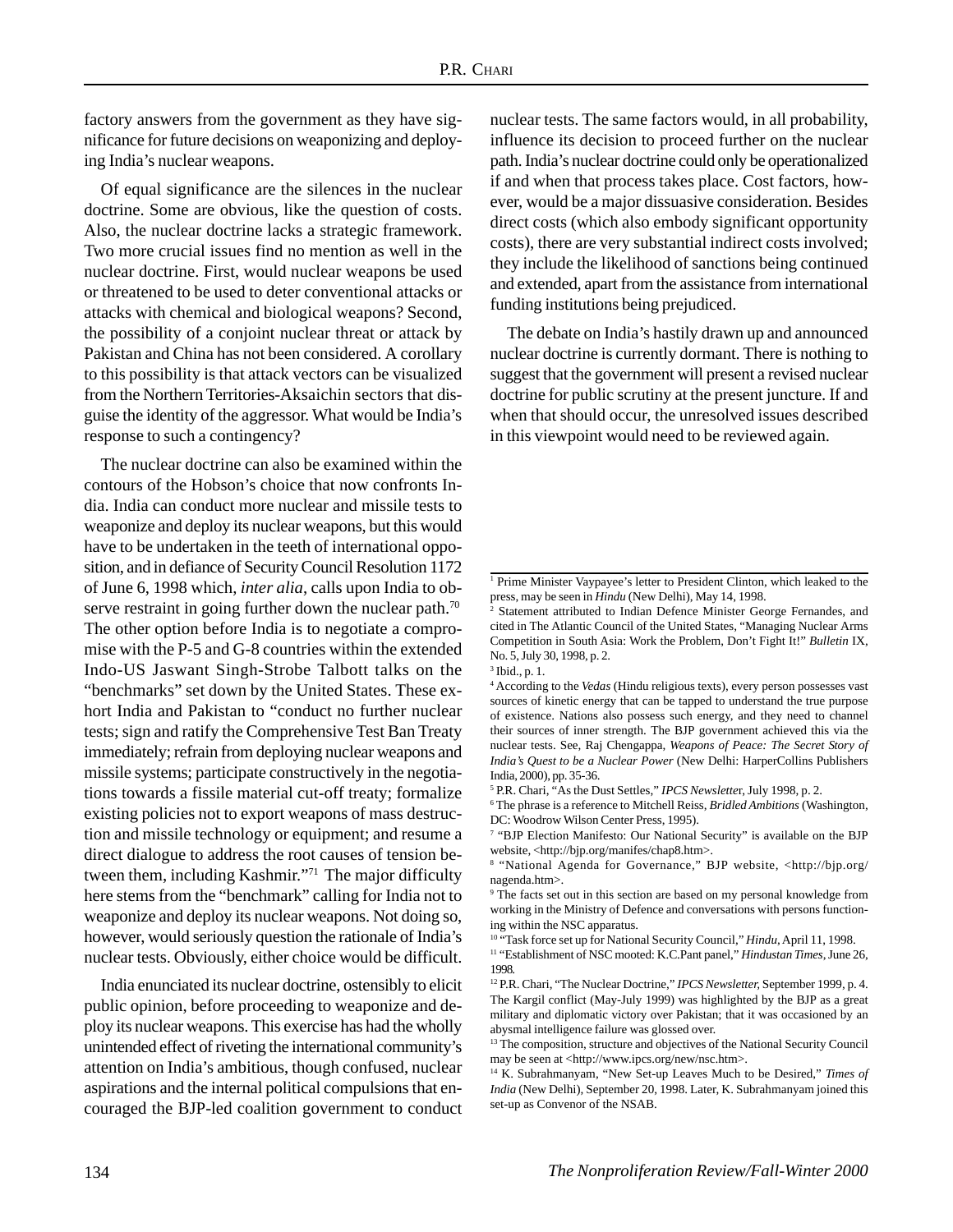factory answers from the government as they have significance for future decisions on weaponizing and deploying India's nuclear weapons.

Of equal significance are the silences in the nuclear doctrine. Some are obvious, like the question of costs. Also, the nuclear doctrine lacks a strategic framework. Two more crucial issues find no mention as well in the nuclear doctrine. First, would nuclear weapons be used or threatened to be used to deter conventional attacks or attacks with chemical and biological weapons? Second, the possibility of a conjoint nuclear threat or attack by Pakistan and China has not been considered. A corollary to this possibility is that attack vectors can be visualized from the Northern Territories-Aksaichin sectors that disguise the identity of the aggressor. What would be India's response to such a contingency?

The nuclear doctrine can also be examined within the contours of the Hobson's choice that now confronts India. India can conduct more nuclear and missile tests to weaponize and deploy its nuclear weapons, but this would have to be undertaken in the teeth of international opposition, and in defiance of Security Council Resolution 1172 of June 6, 1998 which, *inter alia*, calls upon India to observe restraint in going further down the nuclear path.<sup>70</sup> The other option before India is to negotiate a compromise with the P-5 and G-8 countries within the extended Indo-US Jaswant Singh-Strobe Talbott talks on the "benchmarks" set down by the United States. These exhort India and Pakistan to "conduct no further nuclear tests; sign and ratify the Comprehensive Test Ban Treaty immediately; refrain from deploying nuclear weapons and missile systems; participate constructively in the negotiations towards a fissile material cut-off treaty; formalize existing policies not to export weapons of mass destruction and missile technology or equipment; and resume a direct dialogue to address the root causes of tension between them, including Kashmir."71 The major difficulty here stems from the "benchmark" calling for India not to weaponize and deploy its nuclear weapons. Not doing so, however, would seriously question the rationale of India's nuclear tests. Obviously, either choice would be difficult.

India enunciated its nuclear doctrine, ostensibly to elicit public opinion, before proceeding to weaponize and deploy its nuclear weapons. This exercise has had the wholly unintended effect of riveting the international community's attention on India's ambitious, though confused, nuclear aspirations and the internal political compulsions that encouraged the BJP-led coalition government to conduct

nuclear tests. The same factors would, in all probability, influence its decision to proceed further on the nuclear path. India's nuclear doctrine could only be operationalized if and when that process takes place. Cost factors, however, would be a major dissuasive consideration. Besides direct costs (which also embody significant opportunity costs), there are very substantial indirect costs involved; they include the likelihood of sanctions being continued and extended, apart from the assistance from international funding institutions being prejudiced.

The debate on India's hastily drawn up and announced nuclear doctrine is currently dormant. There is nothing to suggest that the government will present a revised nuclear doctrine for public scrutiny at the present juncture. If and when that should occur, the unresolved issues described in this viewpoint would need to be reviewed again.

6 The phrase is a reference to Mitchell Reiss, *Bridled Ambitions* (Washington, DC: Woodrow Wilson Center Press, 1995).

<sup>7</sup> "BJP Election Manifesto: Our National Security" is available on the BJP website, <http://bjp.org/manifes/chap8.htm>.

8 "National Agenda for Governance," BJP website, <http://bjp.org/ nagenda.htm>.

<sup>9</sup> The facts set out in this section are based on my personal knowledge from working in the Ministry of Defence and conversations with persons functioning within the NSC apparatus.

<sup>10</sup> "Task force set up for National Security Council," *Hindu*, April 11, 1998.

<sup>&</sup>lt;sup>1</sup> Prime Minister Vaypayee's letter to President Clinton, which leaked to the press, may be seen in *Hindu* (New Delhi), May 14, 1998.

<sup>&</sup>lt;sup>2</sup> Statement attributed to Indian Defence Minister George Fernandes, and cited in The Atlantic Council of the United States, "Managing Nuclear Arms Competition in South Asia: Work the Problem, Don't Fight It!" *Bulletin* IX, No. 5, July 30, 1998, p. 2.

<sup>3</sup> Ibid., p. 1.

<sup>4</sup> According to the *Vedas* (Hindu religious texts), every person possesses vast sources of kinetic energy that can be tapped to understand the true purpose of existence. Nations also possess such energy, and they need to channel their sources of inner strength. The BJP government achieved this via the nuclear tests. See, Raj Chengappa, *Weapons of Peace: The Secret Story of India's Quest to be a Nuclear Power* (New Delhi: HarperCollins Publishers India, 2000), pp. 35-36.

<sup>5</sup> P.R. Chari, "As the Dust Settles," *IPCS Newslette*r, July 1998, p. 2.

<sup>11 &</sup>quot;Establishment of NSC mooted: K.C.Pant panel," *Hindustan Times*, June 26, 1998.

<sup>12</sup> P.R. Chari, "The Nuclear Doctrine," *IPCS Newsletter,* September 1999, p. 4. The Kargil conflict (May-July 1999) was highlighted by the BJP as a great military and diplomatic victory over Pakistan; that it was occasioned by an abysmal intelligence failure was glossed over.

<sup>&</sup>lt;sup>13</sup> The composition, structure and objectives of the National Security Council may be seen at <http://www.ipcs.org/new/nsc.htm>.

<sup>14</sup> K. Subrahmanyam, "New Set-up Leaves Much to be Desired," *Times of India* (New Delhi), September 20, 1998. Later, K. Subrahmanyam joined this set-up as Convenor of the NSAB.